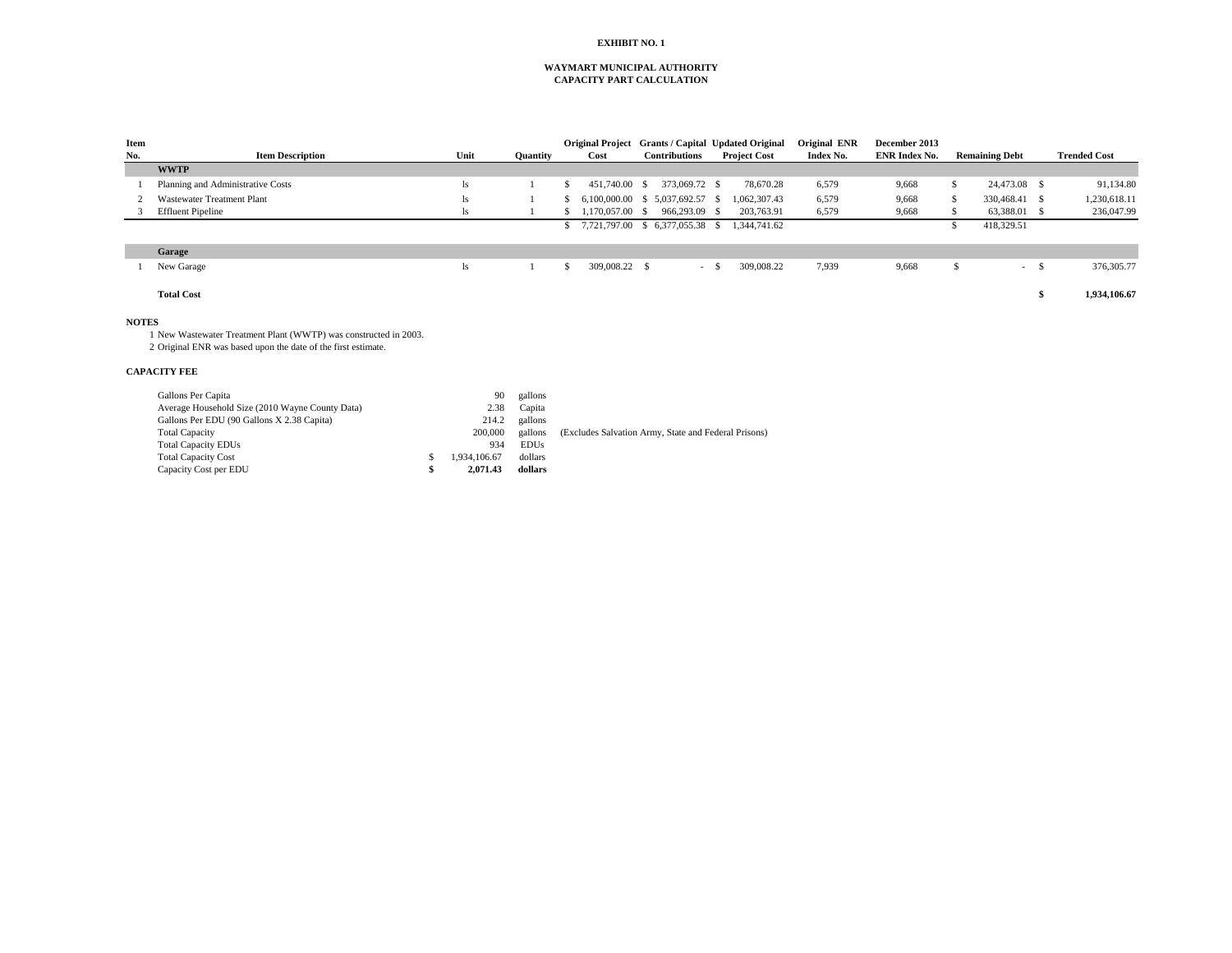## **EXHIBIT NO. 1**

### **CAPACITY PART CALCULATION WAYMART MUNICIPAL AUTHORITY**

| Item |                                                                |    |              |             |    | Original Project Grants / Capital Updated Original   |      |               |        |                     | Original ENR | December 2013        |    |                       |      |                     |
|------|----------------------------------------------------------------|----|--------------|-------------|----|------------------------------------------------------|------|---------------|--------|---------------------|--------------|----------------------|----|-----------------------|------|---------------------|
| No.  | <b>Item Description</b>                                        |    | Unit         | Quantity    |    | Cost                                                 |      | Contributions |        | <b>Project Cost</b> | Index No.    | <b>ENR Index No.</b> |    | <b>Remaining Debt</b> |      | <b>Trended Cost</b> |
|      | <b>WWTP</b>                                                    |    |              |             |    |                                                      |      |               |        |                     |              |                      |    |                       |      |                     |
|      | Planning and Administrative Costs                              |    | ls           |             | -S | 451,740.00                                           | - \$ | 373,069.72 \$ |        | 78,670.28           | 6,579        | 9,668                | S  | 24,473.08 \$          |      | 91,134.80           |
|      | <b>Wastewater Treatment Plant</b>                              |    | ls           |             |    | 6.100.000.00 \$ 5.037.692.57 \$                      |      |               |        | 1,062,307.43        | 6,579        | 9,668                | -S | 330,468.41 \$         |      | 1,230,618.11        |
|      | <b>Effluent Pipeline</b>                                       |    | ls           |             |    | 1.170.057.00                                         | - \$ | 966,293.09 \$ |        | 203,763.91          | 6,579        | 9,668                |    | 63,388.01 \$          |      | 236,047.99          |
|      |                                                                |    |              |             |    | \$ 7,721,797.00 \$ 6,377,055.38 \$                   |      |               |        | 1,344,741.62        |              |                      | S. | 418,329.51            |      |                     |
|      | Garage                                                         |    |              |             |    |                                                      |      |               |        |                     |              |                      |    |                       |      |                     |
|      | New Garage                                                     |    | ls           |             | S  | 309,008.22 \$                                        |      |               | $-$ \$ | 309,008.22          | 7,939        | 9,668                | \$ | $\sim 10^{-1}$        | - \$ | 376, 305. 77        |
|      | <b>Total Cost</b>                                              |    |              |             |    |                                                      |      |               |        |                     |              |                      |    |                       | \$   | 1,934,106.67        |
|      | <b>NOTES</b>                                                   |    |              |             |    |                                                      |      |               |        |                     |              |                      |    |                       |      |                     |
|      | New Wastewater Treatment Plant (WWTP) was constructed in 2003. |    |              |             |    |                                                      |      |               |        |                     |              |                      |    |                       |      |                     |
|      | 2 Original ENR was based upon the date of the first estimate.  |    |              |             |    |                                                      |      |               |        |                     |              |                      |    |                       |      |                     |
|      | <b>CAPACITY FEE</b>                                            |    |              |             |    |                                                      |      |               |        |                     |              |                      |    |                       |      |                     |
|      | Gallons Per Capita                                             |    | 90           | gallons     |    |                                                      |      |               |        |                     |              |                      |    |                       |      |                     |
|      | Average Household Size (2010 Wayne County Data)                |    | 2.38         | Capita      |    |                                                      |      |               |        |                     |              |                      |    |                       |      |                     |
|      | Gallons Per EDU (90 Gallons X 2.38 Capita)                     |    | 214.2        | gallons     |    |                                                      |      |               |        |                     |              |                      |    |                       |      |                     |
|      | <b>Total Capacity</b>                                          |    | 200,000      | gallons     |    | (Excludes Salvation Army, State and Federal Prisons) |      |               |        |                     |              |                      |    |                       |      |                     |
|      | <b>Total Capacity EDUs</b>                                     |    | 934          | <b>EDUs</b> |    |                                                      |      |               |        |                     |              |                      |    |                       |      |                     |
|      | <b>Total Capacity Cost</b>                                     | -S | 1,934,106.67 | dollars     |    |                                                      |      |               |        |                     |              |                      |    |                       |      |                     |
|      | Capacity Cost per EDU                                          | S  | 2,071.43     | dollars     |    |                                                      |      |               |        |                     |              |                      |    |                       |      |                     |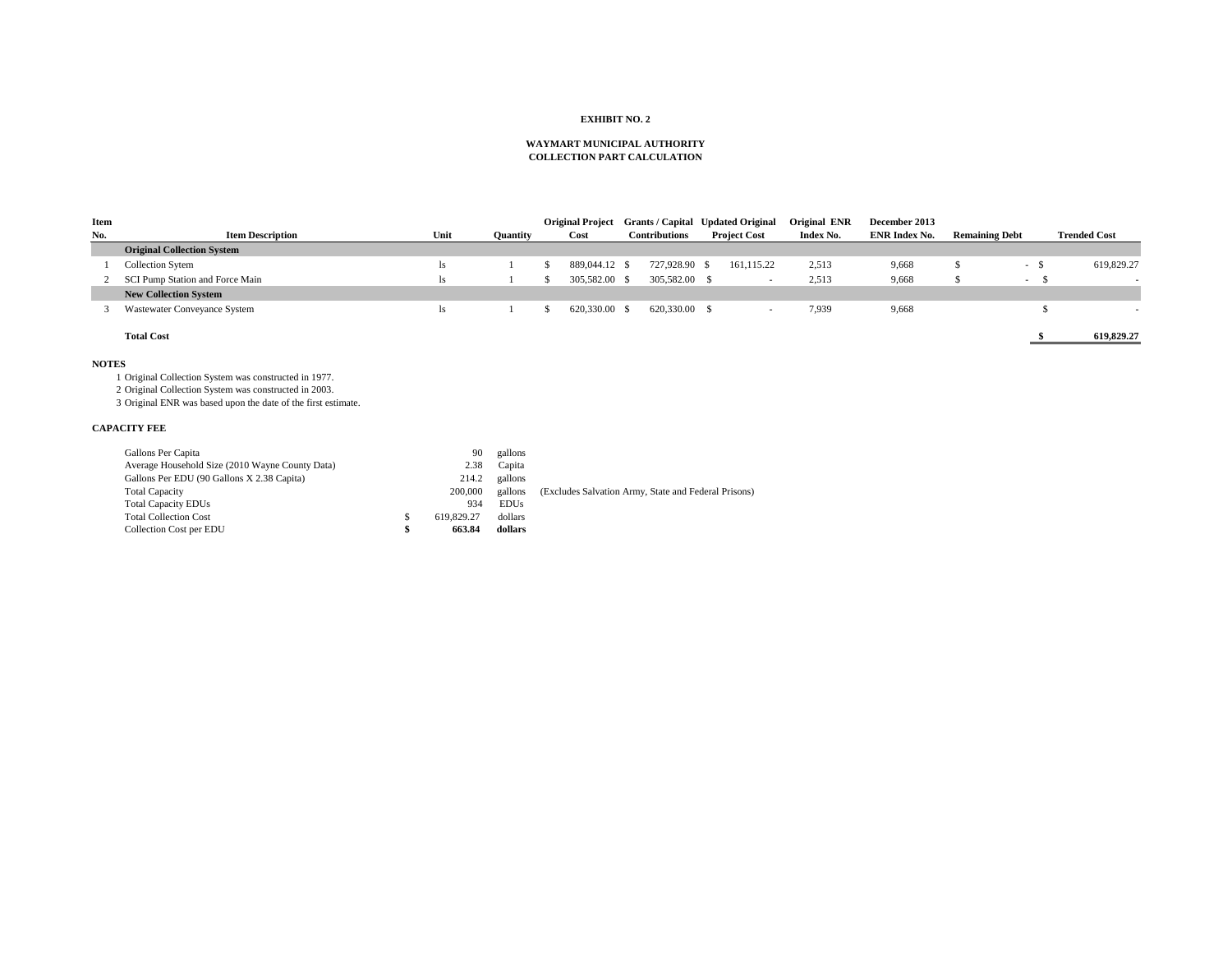### **EXHIBIT NO. 2**

#### **WAYMART MUNICIPAL AUTHORITY COLLECTION PART CALCULATION**

| Item         |                                                               |   |            |                 |    | <b>Original Project</b>                              | Grants / Capital Updated Original |                     | Original ENR | December 2013        |                       |        |                     |
|--------------|---------------------------------------------------------------|---|------------|-----------------|----|------------------------------------------------------|-----------------------------------|---------------------|--------------|----------------------|-----------------------|--------|---------------------|
| No.          | <b>Item Description</b>                                       |   | Unit       | <b>Quantity</b> |    | Cost                                                 | <b>Contributions</b>              | <b>Project Cost</b> | Index No.    | <b>ENR Index No.</b> | <b>Remaining Debt</b> |        | <b>Trended Cost</b> |
|              | <b>Original Collection System</b>                             |   |            |                 |    |                                                      |                                   |                     |              |                      |                       |        |                     |
|              | Collection Sytem                                              |   | ls         |                 | S  | 889,044.12 \$                                        | 727,928.90 \$                     | 161,115.22          | 2,513        | 9,668                | <sup>\$</sup>         | $-$ \$ | 619,829.27          |
|              | SCI Pump Station and Force Main                               |   | <b>ls</b>  |                 | \$ | 305,582.00 \$                                        | 305,582.00 \$                     | $\sim$              | 2,513        | 9,668                | \$                    | $-5$   |                     |
|              | <b>New Collection System</b>                                  |   |            |                 |    |                                                      |                                   |                     |              |                      |                       |        |                     |
| 3            | Wastewater Conveyance System                                  |   | ls         |                 | \$ | 620,330.00 \$                                        | 620,330.00 \$                     | $\sim$              | 7,939        | 9,668                |                       | \$     |                     |
|              | <b>Total Cost</b>                                             |   |            |                 |    |                                                      |                                   |                     |              |                      |                       |        | 619,829.27          |
| <b>NOTES</b> |                                                               |   |            |                 |    |                                                      |                                   |                     |              |                      |                       |        |                     |
|              | 1 Original Collection System was constructed in 1977.         |   |            |                 |    |                                                      |                                   |                     |              |                      |                       |        |                     |
|              | 2 Original Collection System was constructed in 2003.         |   |            |                 |    |                                                      |                                   |                     |              |                      |                       |        |                     |
|              | 3 Original ENR was based upon the date of the first estimate. |   |            |                 |    |                                                      |                                   |                     |              |                      |                       |        |                     |
|              | <b>CAPACITY FEE</b>                                           |   |            |                 |    |                                                      |                                   |                     |              |                      |                       |        |                     |
|              | Gallons Per Capita                                            |   | 90         | gallons         |    |                                                      |                                   |                     |              |                      |                       |        |                     |
|              | Average Household Size (2010 Wayne County Data)               |   | 2.38       | Capita          |    |                                                      |                                   |                     |              |                      |                       |        |                     |
|              | Gallons Per EDU (90 Gallons X 2.38 Capita)                    |   | 214.2      | gallons         |    |                                                      |                                   |                     |              |                      |                       |        |                     |
|              | <b>Total Capacity</b>                                         |   | 200,000    | gallons         |    | (Excludes Salvation Army, State and Federal Prisons) |                                   |                     |              |                      |                       |        |                     |
|              | <b>Total Capacity EDUs</b>                                    |   | 934        | <b>EDUs</b>     |    |                                                      |                                   |                     |              |                      |                       |        |                     |
|              | <b>Total Collection Cost</b>                                  | S | 619,829.27 | dollars         |    |                                                      |                                   |                     |              |                      |                       |        |                     |
|              | Collection Cost per EDU                                       | S | 663.84     | dollars         |    |                                                      |                                   |                     |              |                      |                       |        |                     |